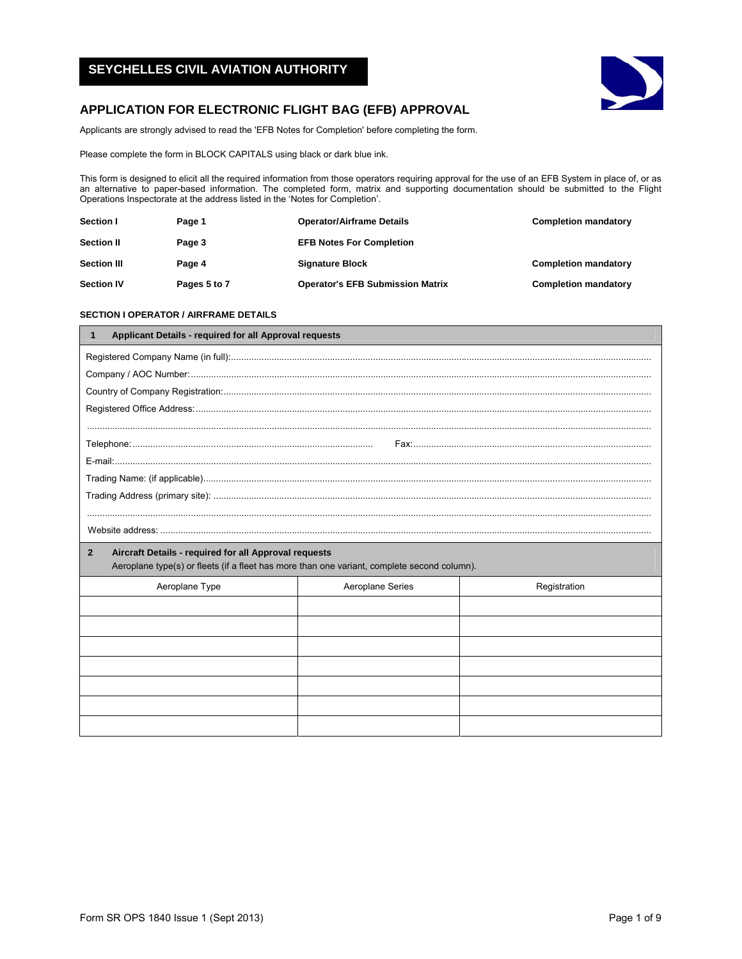# **SEYCHELLES CIVIL AVIATION AUTHORITY**



# **APPLICATION FOR ELECTRONIC FLIGHT BAG (EFB) APPROVAL**

Applicants are strongly advised to read the 'EFB Notes for Completion' before completing the form.

Please complete the form in BLOCK CAPITALS using black or dark blue ink.

This form is designed to elicit all the required information from those operators requiring approval for the use of an EFB System in place of, or as an alternative to paper-based information. The completed form, matrix and supporting documentation should be submitted to the Flight Operations Inspectorate at the address listed in the 'Notes for Completion'.

| <b>Section I</b>   | Page 1       | <b>Operator/Airframe Details</b>        | <b>Completion mandatory</b> |
|--------------------|--------------|-----------------------------------------|-----------------------------|
| <b>Section II</b>  | Page 3       | <b>EFB Notes For Completion</b>         |                             |
| <b>Section III</b> | Page 4       | <b>Signature Block</b>                  | <b>Completion mandatory</b> |
| <b>Section IV</b>  | Pages 5 to 7 | <b>Operator's EFB Submission Matrix</b> | <b>Completion mandatory</b> |

# **SECTION I OPERATOR / AIRFRAME DETAILS**

| Applicant Details - required for all Approval requests<br>1                                                                                                          |                  |              |  |  |
|----------------------------------------------------------------------------------------------------------------------------------------------------------------------|------------------|--------------|--|--|
|                                                                                                                                                                      |                  |              |  |  |
|                                                                                                                                                                      |                  |              |  |  |
|                                                                                                                                                                      |                  |              |  |  |
|                                                                                                                                                                      |                  |              |  |  |
|                                                                                                                                                                      |                  |              |  |  |
|                                                                                                                                                                      |                  |              |  |  |
|                                                                                                                                                                      |                  |              |  |  |
|                                                                                                                                                                      |                  |              |  |  |
|                                                                                                                                                                      |                  |              |  |  |
|                                                                                                                                                                      |                  |              |  |  |
|                                                                                                                                                                      |                  |              |  |  |
| Aircraft Details - required for all Approval requests<br>$\mathbf{2}$<br>Aeroplane type(s) or fleets (if a fleet has more than one variant, complete second column). |                  |              |  |  |
| Aeroplane Type                                                                                                                                                       | Aeroplane Series | Registration |  |  |
|                                                                                                                                                                      |                  |              |  |  |
|                                                                                                                                                                      |                  |              |  |  |
|                                                                                                                                                                      |                  |              |  |  |
|                                                                                                                                                                      |                  |              |  |  |
|                                                                                                                                                                      |                  |              |  |  |
|                                                                                                                                                                      |                  |              |  |  |
|                                                                                                                                                                      |                  |              |  |  |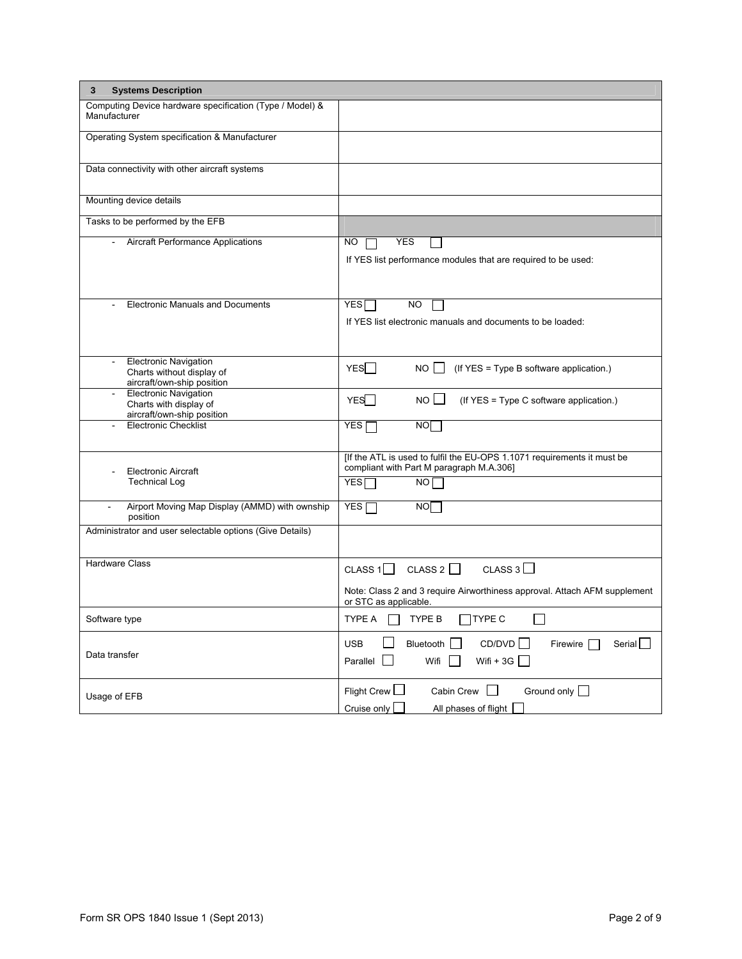| 3<br><b>Systems Description</b>                                                         |                                                                                                                                           |
|-----------------------------------------------------------------------------------------|-------------------------------------------------------------------------------------------------------------------------------------------|
| Computing Device hardware specification (Type / Model) &<br>Manufacturer                |                                                                                                                                           |
| Operating System specification & Manufacturer                                           |                                                                                                                                           |
| Data connectivity with other aircraft systems                                           |                                                                                                                                           |
| Mounting device details                                                                 |                                                                                                                                           |
| Tasks to be performed by the EFB                                                        |                                                                                                                                           |
| Aircraft Performance Applications                                                       | <b>YES</b><br>NO.<br>If YES list performance modules that are required to be used:                                                        |
| <b>Electronic Manuals and Documents</b>                                                 | <b>YES</b><br>NO.<br>If YES list electronic manuals and documents to be loaded:                                                           |
| <b>Electronic Navigation</b><br>Charts without display of<br>aircraft/own-ship position | YESI I<br>$NO$   (If YES = Type B software application.)                                                                                  |
| <b>Electronic Navigation</b><br>Charts with display of<br>aircraft/own-ship position    | YES<br>$NO$ $\vert$<br>(If YES = Type C software application.)                                                                            |
| <b>Electronic Checklist</b>                                                             | NO<br>$\overline{Y}$ ES $\Gamma$                                                                                                          |
| <b>Electronic Aircraft</b><br><b>Technical Log</b>                                      | [If the ATL is used to fulfil the EU-OPS 1.1071 requirements it must be<br>compliant with Part M paragraph M.A.306]<br><b>YES</b><br>NO I |
| Airport Moving Map Display (AMMD) with ownship<br>ä,<br>position                        | YES <sub>I</sub><br><b>NO</b>                                                                                                             |
| Administrator and user selectable options (Give Details)                                |                                                                                                                                           |
| <b>Hardware Class</b>                                                                   | CLASS $1 \square$ CLASS $2 \square$<br>CLASS 3 $\square$                                                                                  |
|                                                                                         | Note: Class 2 and 3 require Airworthiness approval. Attach AFM supplement<br>or STC as applicable.                                        |
| Software type                                                                           | $\Box$ TYPE C<br>TYPE A<br>TYPE B                                                                                                         |
| Data transfer                                                                           | CD/DVD<br><b>USB</b><br>Bluetooth<br>Firewire [<br>Serial  <br>Wifi + $3G$<br>Parallel<br>Wifi                                            |
| Usage of EFB                                                                            | Flight Crew  <br>Cabin Crew $\Box$<br>Ground only $\Box$<br>Cruise only<br>All phases of flight                                           |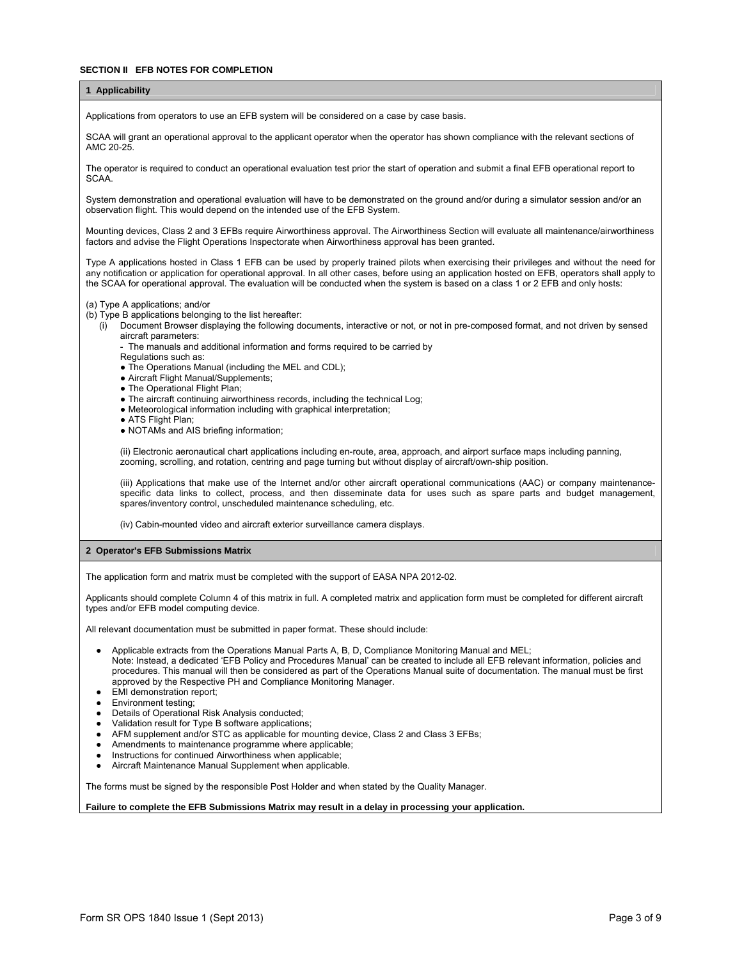#### **SECTION II FEB NOTES FOR COMPLETION**

# **1 Applicability**

Applications from operators to use an EFB system will be considered on a case by case basis.

SCAA will grant an operational approval to the applicant operator when the operator has shown compliance with the relevant sections of AMC 20-25.

The operator is required to conduct an operational evaluation test prior the start of operation and submit a final EFB operational report to SCAA.

System demonstration and operational evaluation will have to be demonstrated on the ground and/or during a simulator session and/or an observation flight. This would depend on the intended use of the EFB System.

Mounting devices, Class 2 and 3 EFBs require Airworthiness approval. The Airworthiness Section will evaluate all maintenance/airworthiness factors and advise the Flight Operations Inspectorate when Airworthiness approval has been granted.

Type A applications hosted in Class 1 EFB can be used by properly trained pilots when exercising their privileges and without the need for any notification or application for operational approval. In all other cases, before using an application hosted on EFB, operators shall apply to the SCAA for operational approval. The evaluation will be conducted when the system is based on a class 1 or 2 EFB and only hosts:

## (a) Type A applications; and/or

- (b) Type B applications belonging to the list hereafter:
	- (i) Document Browser displaying the following documents, interactive or not, or not in pre-composed format, and not driven by sensed aircraft parameters:
		- The manuals and additional information and forms required to be carried by
		- Regulations such as:
		- The Operations Manual (including the MEL and CDL);
		- Aircraft Flight Manual/Supplements;
		- The Operational Flight Plan;
		- The aircraft continuing airworthiness records, including the technical Log;
		- Meteorological information including with graphical interpretation;
		- ATS Flight Plan;
		- NOTAMs and AIS briefing information;

(ii) Electronic aeronautical chart applications including en-route, area, approach, and airport surface maps including panning, zooming, scrolling, and rotation, centring and page turning but without display of aircraft/own-ship position.

(iii) Applications that make use of the Internet and/or other aircraft operational communications (AAC) or company maintenancespecific data links to collect, process, and then disseminate data for uses such as spare parts and budget management, spares/inventory control, unscheduled maintenance scheduling, etc.

(iv) Cabin-mounted video and aircraft exterior surveillance camera displays.

#### **2 Operator's EFB Submissions Matrix**

The application form and matrix must be completed with the support of EASA NPA 2012-02.

Applicants should complete Column 4 of this matrix in full. A completed matrix and application form must be completed for different aircraft types and/or EFB model computing device.

All relevant documentation must be submitted in paper format. These should include:

- Applicable extracts from the Operations Manual Parts A, B, D, Compliance Monitoring Manual and MEL; Note: Instead, a dedicated 'EFB Policy and Procedures Manual' can be created to include all EFB relevant information, policies and procedures. This manual will then be considered as part of the Operations Manual suite of documentation. The manual must be first approved by the Respective PH and Compliance Monitoring Manager.
- EMI demonstration report;
- **Environment testing;**
- Details of Operational Risk Analysis conducted;
- Validation result for Type B software applications;
- AFM supplement and/or STC as applicable for mounting device, Class 2 and Class 3 EFBs;
- Amendments to maintenance programme where applicable;
- Instructions for continued Airworthiness when applicable;
- Aircraft Maintenance Manual Supplement when applicable.

The forms must be signed by the responsible Post Holder and when stated by the Quality Manager.

**Failure to complete the EFB Submissions Matrix may result in a delay in processing your application.**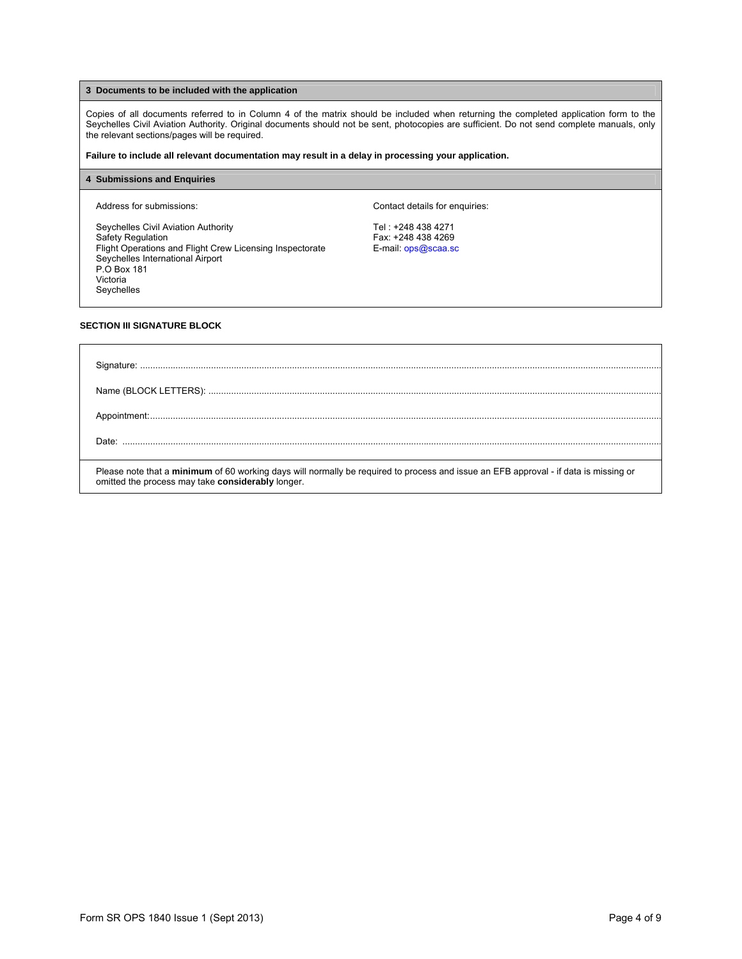## **3 Documents to be included with the application**

Copies of all documents referred to in Column 4 of the matrix should be included when returning the completed application form to the Seychelles Civil Aviation Authority. Original documents should not be sent, photocopies are sufficient. Do not send complete manuals, only the relevant sections/pages will be required.

**Failure to include all relevant documentation may result in a delay in processing your application.**

### **4 Submissions and Enquiries**

Seychelles Civil Aviation Authority **Tel : +248 438 4271**<br>Safety Regulation **Tel : +248 438 4269** Flight Operations and Flight Crew Licensing Inspectorate E-mail: ops@scaa.sc Seychelles International Airport P.O Box 181 Victoria Seychelles

Address for submissions:  $\blacksquare$ 

Fax: +248 438 4269

## **SECTION III SIGNATURE BLOCK**

| Please note that a minimum of 60 working days will normally be required to process and issue an EFB approval - if data is missing or |
|--------------------------------------------------------------------------------------------------------------------------------------|
| omitted the process may take considerably longer.                                                                                    |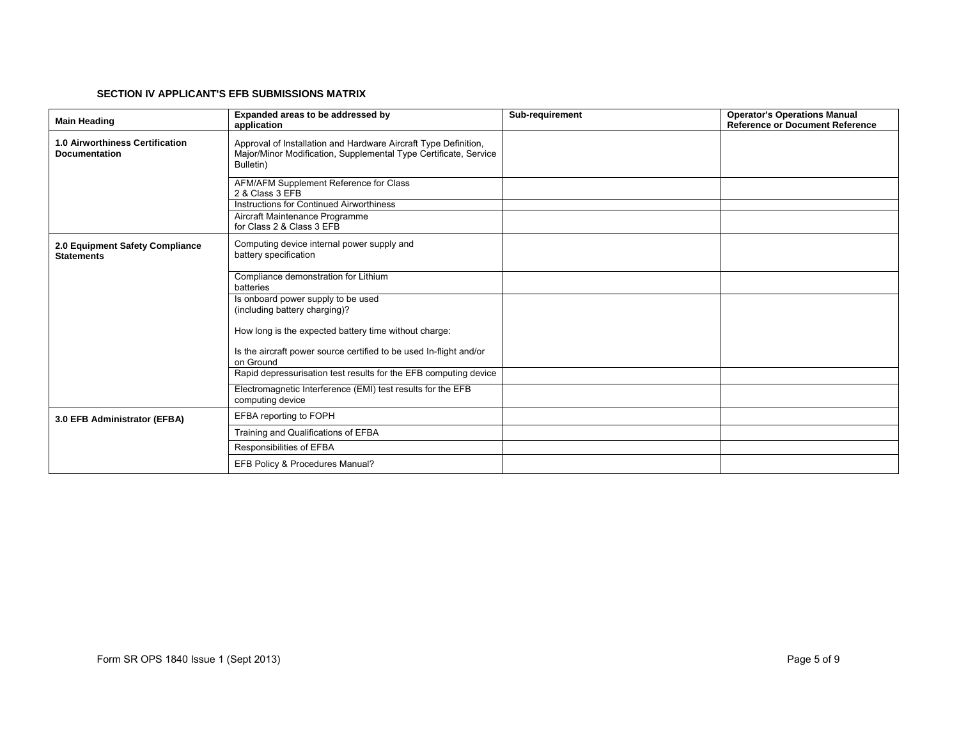#### **SECTION IV APPLICANT'S EFB SUBMISSIONS MATRIX**

| <b>Main Heading</b>                                            | Expanded areas to be addressed by<br>application                                                                                                 | Sub-requirement | <b>Operator's Operations Manual</b><br><b>Reference or Document Reference</b> |
|----------------------------------------------------------------|--------------------------------------------------------------------------------------------------------------------------------------------------|-----------------|-------------------------------------------------------------------------------|
| <b>1.0 Airworthiness Certification</b><br><b>Documentation</b> | Approval of Installation and Hardware Aircraft Type Definition,<br>Major/Minor Modification, Supplemental Type Certificate, Service<br>Bulletin) |                 |                                                                               |
|                                                                | AFM/AFM Supplement Reference for Class<br>2 & Class 3 EFB                                                                                        |                 |                                                                               |
|                                                                | Instructions for Continued Airworthiness<br>Aircraft Maintenance Programme                                                                       |                 |                                                                               |
|                                                                | for Class 2 & Class 3 EFB                                                                                                                        |                 |                                                                               |
| 2.0 Equipment Safety Compliance<br><b>Statements</b>           | Computing device internal power supply and<br>battery specification                                                                              |                 |                                                                               |
|                                                                | Compliance demonstration for Lithium<br>batteries                                                                                                |                 |                                                                               |
|                                                                | Is onboard power supply to be used<br>(including battery charging)?                                                                              |                 |                                                                               |
|                                                                | How long is the expected battery time without charge:                                                                                            |                 |                                                                               |
|                                                                | Is the aircraft power source certified to be used In-flight and/or<br>on Ground                                                                  |                 |                                                                               |
|                                                                | Rapid depressurisation test results for the EFB computing device                                                                                 |                 |                                                                               |
|                                                                | Electromagnetic Interference (EMI) test results for the EFB<br>computing device                                                                  |                 |                                                                               |
| 3.0 EFB Administrator (EFBA)                                   | EFBA reporting to FOPH                                                                                                                           |                 |                                                                               |
|                                                                | Training and Qualifications of EFBA                                                                                                              |                 |                                                                               |
|                                                                | Responsibilities of EFBA                                                                                                                         |                 |                                                                               |
|                                                                | EFB Policy & Procedures Manual?                                                                                                                  |                 |                                                                               |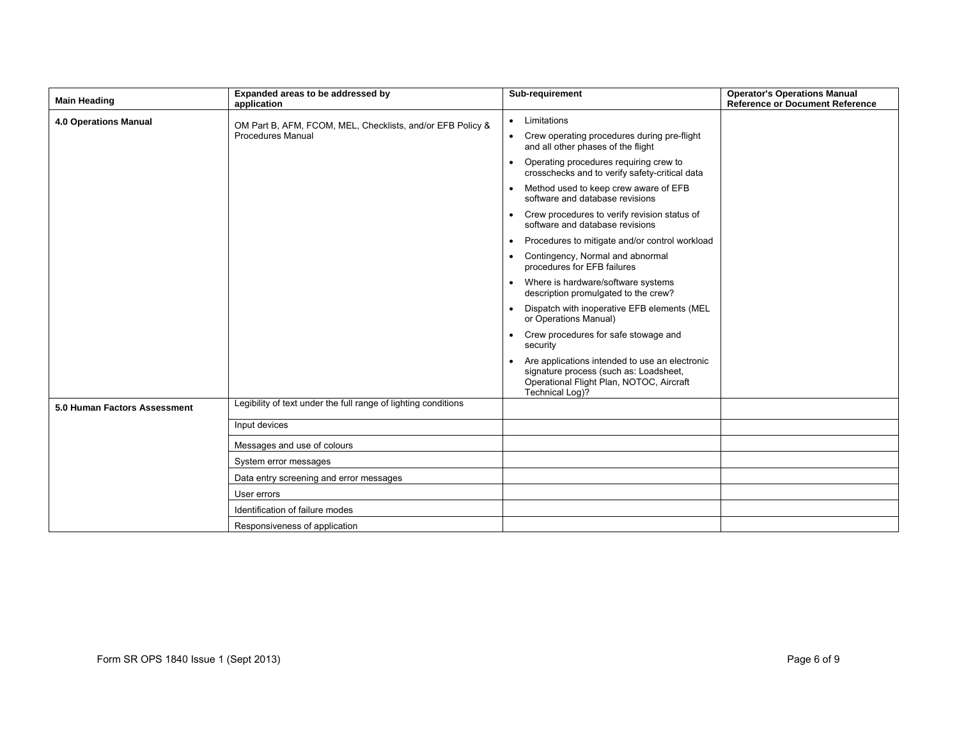| <b>Main Heading</b>          | Expanded areas to be addressed by<br>application                                       | Sub-requirement                                                                                                                                         | <b>Operator's Operations Manual</b><br><b>Reference or Document Reference</b> |
|------------------------------|----------------------------------------------------------------------------------------|---------------------------------------------------------------------------------------------------------------------------------------------------------|-------------------------------------------------------------------------------|
| 4.0 Operations Manual        | OM Part B, AFM, FCOM, MEL, Checklists, and/or EFB Policy &<br><b>Procedures Manual</b> | Limitations<br>$\bullet$                                                                                                                                |                                                                               |
|                              |                                                                                        | Crew operating procedures during pre-flight<br>$\bullet$<br>and all other phases of the flight                                                          |                                                                               |
|                              |                                                                                        | Operating procedures requiring crew to<br>crosschecks and to verify safety-critical data                                                                |                                                                               |
|                              |                                                                                        | Method used to keep crew aware of EFB<br>$\bullet$<br>software and database revisions                                                                   |                                                                               |
|                              |                                                                                        | Crew procedures to verify revision status of<br>software and database revisions                                                                         |                                                                               |
|                              |                                                                                        | Procedures to mitigate and/or control workload<br>$\bullet$                                                                                             |                                                                               |
|                              |                                                                                        | Contingency, Normal and abnormal<br>procedures for EFB failures                                                                                         |                                                                               |
|                              |                                                                                        | Where is hardware/software systems<br>description promulgated to the crew?                                                                              |                                                                               |
|                              |                                                                                        | Dispatch with inoperative EFB elements (MEL<br>$\bullet$<br>or Operations Manual)                                                                       |                                                                               |
|                              |                                                                                        | Crew procedures for safe stowage and<br>security                                                                                                        |                                                                               |
|                              |                                                                                        | Are applications intended to use an electronic<br>signature process (such as: Loadsheet,<br>Operational Flight Plan, NOTOC, Aircraft<br>Technical Log)? |                                                                               |
| 5.0 Human Factors Assessment | Legibility of text under the full range of lighting conditions                         |                                                                                                                                                         |                                                                               |
|                              | Input devices                                                                          |                                                                                                                                                         |                                                                               |
|                              | Messages and use of colours                                                            |                                                                                                                                                         |                                                                               |
|                              | System error messages                                                                  |                                                                                                                                                         |                                                                               |
|                              | Data entry screening and error messages                                                |                                                                                                                                                         |                                                                               |
|                              | User errors                                                                            |                                                                                                                                                         |                                                                               |
|                              | Identification of failure modes                                                        |                                                                                                                                                         |                                                                               |
|                              | Responsiveness of application                                                          |                                                                                                                                                         |                                                                               |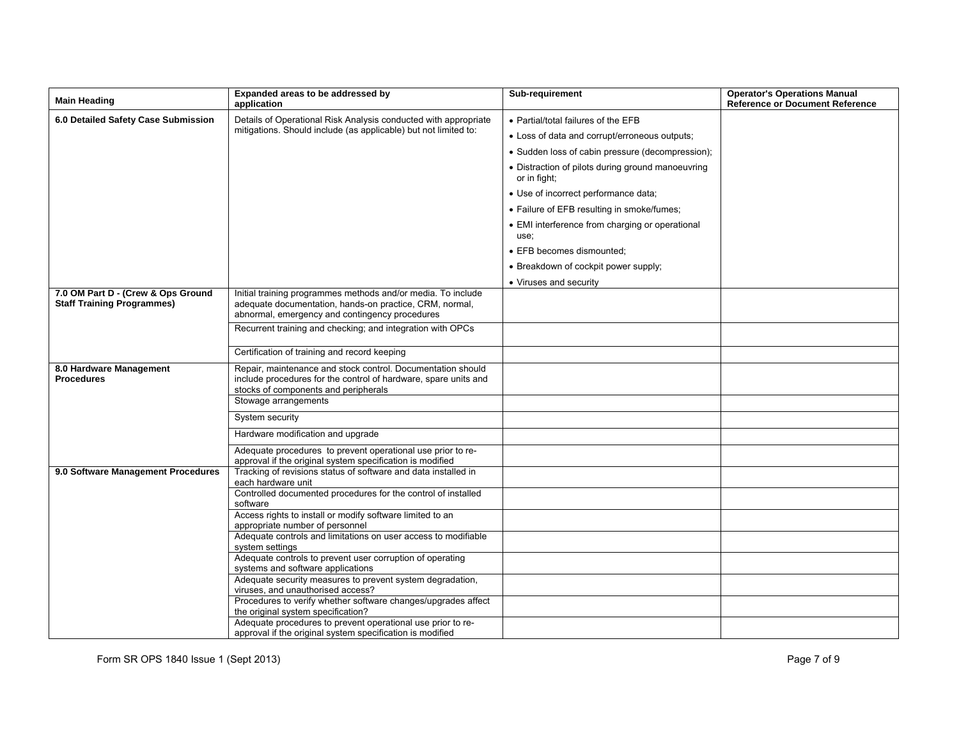| <b>Main Heading</b>                                                     | Expanded areas to be addressed by<br>application                                                                                                                          | Sub-requirement                                                   | <b>Operator's Operations Manual</b><br><b>Reference or Document Reference</b> |
|-------------------------------------------------------------------------|---------------------------------------------------------------------------------------------------------------------------------------------------------------------------|-------------------------------------------------------------------|-------------------------------------------------------------------------------|
| 6.0 Detailed Safety Case Submission                                     | Details of Operational Risk Analysis conducted with appropriate<br>mitigations. Should include (as applicable) but not limited to:                                        | • Partial/total failures of the EFB                               |                                                                               |
|                                                                         |                                                                                                                                                                           | • Loss of data and corrupt/erroneous outputs;                     |                                                                               |
|                                                                         |                                                                                                                                                                           | • Sudden loss of cabin pressure (decompression);                  |                                                                               |
|                                                                         |                                                                                                                                                                           | • Distraction of pilots during ground manoeuvring<br>or in fight; |                                                                               |
|                                                                         |                                                                                                                                                                           | • Use of incorrect performance data;                              |                                                                               |
|                                                                         |                                                                                                                                                                           | • Failure of EFB resulting in smoke/fumes;                        |                                                                               |
|                                                                         |                                                                                                                                                                           | • EMI interference from charging or operational<br>use;           |                                                                               |
|                                                                         |                                                                                                                                                                           | • EFB becomes dismounted:                                         |                                                                               |
|                                                                         |                                                                                                                                                                           | • Breakdown of cockpit power supply;                              |                                                                               |
|                                                                         |                                                                                                                                                                           | • Viruses and security                                            |                                                                               |
| 7.0 OM Part D - (Crew & Ops Ground<br><b>Staff Training Programmes)</b> | Initial training programmes methods and/or media. To include<br>adequate documentation, hands-on practice, CRM, normal,<br>abnormal, emergency and contingency procedures |                                                                   |                                                                               |
|                                                                         | Recurrent training and checking; and integration with OPCs                                                                                                                |                                                                   |                                                                               |
|                                                                         | Certification of training and record keeping                                                                                                                              |                                                                   |                                                                               |
| 8.0 Hardware Management<br><b>Procedures</b>                            | Repair, maintenance and stock control. Documentation should<br>include procedures for the control of hardware, spare units and<br>stocks of components and peripherals    |                                                                   |                                                                               |
|                                                                         | Stowage arrangements                                                                                                                                                      |                                                                   |                                                                               |
|                                                                         | System security                                                                                                                                                           |                                                                   |                                                                               |
|                                                                         | Hardware modification and upgrade                                                                                                                                         |                                                                   |                                                                               |
|                                                                         | Adequate procedures to prevent operational use prior to re-<br>approval if the original system specification is modified                                                  |                                                                   |                                                                               |
| 9.0 Software Management Procedures                                      | Tracking of revisions status of software and data installed in<br>each hardware unit                                                                                      |                                                                   |                                                                               |
|                                                                         | Controlled documented procedures for the control of installed<br>software                                                                                                 |                                                                   |                                                                               |
|                                                                         | Access rights to install or modify software limited to an<br>appropriate number of personnel                                                                              |                                                                   |                                                                               |
|                                                                         | Adequate controls and limitations on user access to modifiable<br>system settings                                                                                         |                                                                   |                                                                               |
|                                                                         | Adequate controls to prevent user corruption of operating<br>systems and software applications                                                                            |                                                                   |                                                                               |
|                                                                         | Adequate security measures to prevent system degradation,<br>viruses, and unauthorised access?                                                                            |                                                                   |                                                                               |
|                                                                         | Procedures to verify whether software changes/upgrades affect<br>the original system specification?                                                                       |                                                                   |                                                                               |
|                                                                         | Adequate procedures to prevent operational use prior to re-<br>approval if the original system specification is modified                                                  |                                                                   |                                                                               |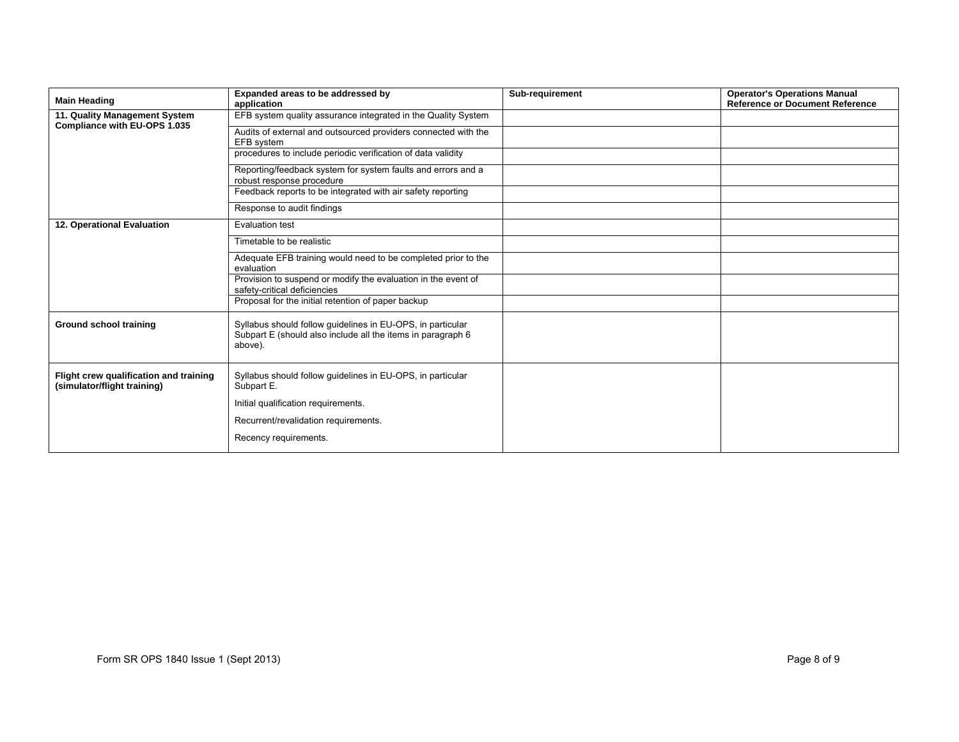| <b>Main Heading</b>                                                   | Expanded areas to be addressed by                                                                                                    | Sub-requirement | <b>Operator's Operations Manual</b>    |
|-----------------------------------------------------------------------|--------------------------------------------------------------------------------------------------------------------------------------|-----------------|----------------------------------------|
|                                                                       | application                                                                                                                          |                 | <b>Reference or Document Reference</b> |
| 11. Quality Management System<br>Compliance with EU-OPS 1.035         | EFB system quality assurance integrated in the Quality System                                                                        |                 |                                        |
|                                                                       | Audits of external and outsourced providers connected with the                                                                       |                 |                                        |
|                                                                       | EFB system<br>procedures to include periodic verification of data validity                                                           |                 |                                        |
|                                                                       |                                                                                                                                      |                 |                                        |
|                                                                       | Reporting/feedback system for system faults and errors and a<br>robust response procedure                                            |                 |                                        |
|                                                                       | Feedback reports to be integrated with air safety reporting                                                                          |                 |                                        |
|                                                                       | Response to audit findings                                                                                                           |                 |                                        |
| 12. Operational Evaluation                                            | Evaluation test                                                                                                                      |                 |                                        |
|                                                                       | Timetable to be realistic                                                                                                            |                 |                                        |
|                                                                       | Adequate EFB training would need to be completed prior to the<br>evaluation                                                          |                 |                                        |
|                                                                       | Provision to suspend or modify the evaluation in the event of<br>safety-critical deficiencies                                        |                 |                                        |
|                                                                       | Proposal for the initial retention of paper backup                                                                                   |                 |                                        |
| <b>Ground school training</b>                                         | Syllabus should follow guidelines in EU-OPS, in particular<br>Subpart E (should also include all the items in paragraph 6<br>above). |                 |                                        |
| Flight crew qualification and training<br>(simulator/flight training) | Syllabus should follow guidelines in EU-OPS, in particular<br>Subpart E.                                                             |                 |                                        |
|                                                                       | Initial qualification requirements.                                                                                                  |                 |                                        |
|                                                                       | Recurrent/revalidation requirements.                                                                                                 |                 |                                        |
|                                                                       | Recency requirements.                                                                                                                |                 |                                        |